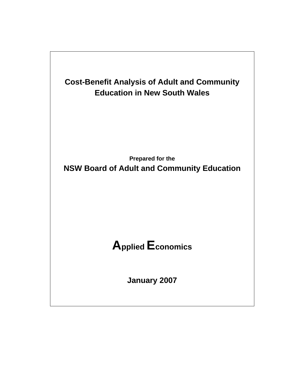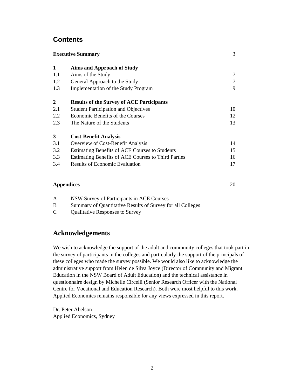# **Contents**

| <b>Executive Summary</b>                              | 3  |
|-------------------------------------------------------|----|
| <b>Aims and Approach of Study</b>                     |    |
| Aims of the Study                                     | 7  |
| General Approach to the Study                         | 7  |
| Implementation of the Study Program                   | 9  |
| <b>Results of the Survey of ACE Participants</b>      |    |
| <b>Student Participation and Objectives</b>           | 10 |
| Economic Benefits of the Courses                      | 12 |
| The Nature of the Students                            | 13 |
| <b>Cost-Benefit Analysis</b>                          |    |
| Overview of Cost-Benefit Analysis                     | 14 |
| <b>Estimating Benefits of ACE Courses to Students</b> | 15 |
| Estimating Benefits of ACE Courses to Third Parties   | 16 |
| <b>Results of Economic Evaluation</b>                 | 17 |
|                                                       |    |

### **Appendices** 20

- A NSW Survey of Participants in ACE Courses B Summary of Quantitative Results of Survey for all Colleges
- C Qualitative Responses to Survey

# **Acknowledgements**

We wish to acknowledge the support of the adult and community colleges that took part in the survey of participants in the colleges and particularly the support of the principals of these colleges who made the survey possible. We would also like to acknowledge the administrative support from Helen de Silva Joyce (Director of Community and Migrant Education in the NSW Board of Adult Education) and the technical assistance in questionnaire design by Michelle Circelli (Senior Research Officer with the National Centre for Vocational and Education Research). Both were most helpful to this work. Applied Economics remains responsible for any views expressed in this report.

Dr. Peter Abelson Applied Economics, Sydney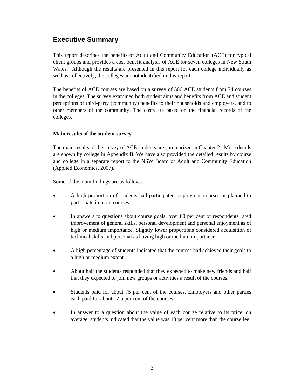# **Executive Summary**

This report describes the benefits of Adult and Community Education (ACE) for typical client groups and provides a cost-benefit analysis of ACE for seven colleges in New South Wales. Although the results are presented in this report for each college individually as well as collectively, the colleges are not identified in this report.

The benefits of ACE courses are based on a survey of 566 ACE students from 74 courses in the colleges. The survey examined both student aims and benefits from ACE and student perceptions of third-party (community) benefits to their households and employers, and to other members of the community. The costs are based on the financial records of the colleges.

## **Main results of the student survey**

The main results of the survey of ACE students are summarized in Chapter 2. More details are shown by college in Appendix B. We have also provided the detailed results by course and college in a separate report to the NSW Board of Adult and Community Education (Applied Economics, 2007).

Some of the main findings are as follows.

- A high proportion of students had participated in previous courses or planned to participate in more courses.
- In answers to questions about course goals, over 80 per cent of respondents rated improvement of general skills, personal development and personal enjoyment as of high or medium importance. Slightly lower proportions considered acquisition of technical skills and personal as having high or medium importance.
- A high percentage of students indicated that the courses had achieved their goals to a high or medium extent.
- About half the students responded that they expected to make new friends and half that they expected to join new groups or activities a result of the courses.
- Students paid for about 75 per cent of the courses. Employers and other parties each paid for about 12.5 per cent of the courses.
- In answer to a question about the value of each course relative to its price, on average, students indicated that the value was 10 per cent more than the course fee.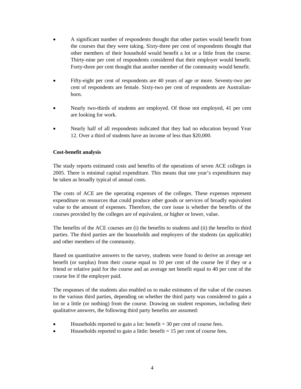- A significant number of respondents thought that other parties would benefit from the courses that they were taking. Sixty-three per cent of respondents thought that other members of their household would benefit a lot or a little from the course. Thirty-nine per cent of respondents considered that their employer would benefit. Forty-three per cent thought that another member of the community would benefit.
- Fifty-eight per cent of respondents are 40 years of age or more. Seventy-two per cent of respondents are female. Sixty-two per cent of respondents are Australianborn.
- Nearly two-thirds of students are employed. Of those not employed, 41 per cent are looking for work.
- Nearly half of all respondents indicated that they had no education beyond Year 12. Over a third of students have an income of less than \$20,000.

### **Cost-benefit analysis**

The study reports estimated costs and benefits of the operations of seven ACE colleges in 2005. There is minimal capital expenditure. This means that one year's expenditures may be taken as broadly typical of annual costs.

The costs of ACE are the operating expenses of the colleges. These expenses represent expenditure on resources that could produce other goods or services of broadly equivalent value to the amount of expenses. Therefore, the core issue is whether the benefits of the courses provided by the colleges are of equivalent, or higher or lower, value.

The benefits of the ACE courses are (i) the benefits to students and (ii) the benefits to third parties. The third parties are the households and employers of the students (as applicable) and other members of the community.

Based on quantitative answers to the survey, students were found to derive an average net benefit (or surplus) from their course equal to 10 per cent of the course fee if they or a friend or relative paid for the course and an average net benefit equal to 40 per cent of the course fee if the employer paid.

The responses of the students also enabled us to make estimates of the value of the courses to the various third parties, depending on whether the third party was considered to gain a lot or a little (or nothing) from the course. Drawing on student responses, including their qualitative answers, the following third party benefits are assumed:

- Households reported to gain a lot: benefit  $= 30$  per cent of course fees.
- Households reported to gain a little: benefit  $= 15$  per cent of course fees.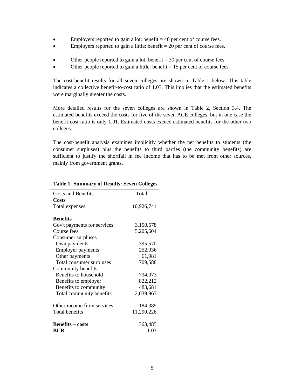- Employers reported to gain a lot: benefit  $= 40$  per cent of course fees.
- Employers reported to gain a little: benefit  $= 20$  per cent of course fees.
- Other people reported to gain a lot: benefit  $= 30$  per cent of course fees.
- Other people reported to gain a little: benefit  $= 15$  per cent of course fees.

The cost-benefit results for all seven colleges are shown in Table 1 below. This table indicates a collective benefit-to-cost ratio of 1.03. This implies that the estimated benefits were marginally greater the costs.

More detailed results for the seven colleges are shown in Table 2, Section 3.4. The estimated benefits exceed the costs for five of the seven ACE colleges, but in one case the benefit-cost ratio is only 1.01. Estimated costs exceed estimated benefits for the other two colleges.

The cost-benefit analysis examines implicitly whether the net benefits to students (the consumer surpluses) plus the benefits to third parties (the community benefits) are sufficient to justify the shortfall in fee income that has to be met from other sources, mainly from government grants.

| <b>Costs and Benefits</b>   | Total      |
|-----------------------------|------------|
| Costs                       |            |
| Total expenses              | 10,926,741 |
|                             |            |
| <b>Benefits</b>             |            |
| Gov't payments for services | 3,150,678  |
| Course fees                 | 5,205,604  |
| Consumer surpluses          |            |
| Own payments                | 395,570    |
| <b>Employer payments</b>    | 252,036    |
| Other payments              | 61,981     |
| Total consumer surpluses    | 709,588    |
| Community benefits          |            |
| Benefits to household       | 734,073    |
| Benefits to employer        | 822,212    |
| Benefits to community       | 483,681    |
| Total community benefits    | 2,039,967  |
|                             |            |
| Other income from services  | 184,389    |
| Total benefits              | 11,290,226 |
|                             |            |
| <b>Benefits - costs</b>     | 363,485    |
| BCR                         | 1.03       |

#### **Table 1 Summary of Results: Seven Colleges**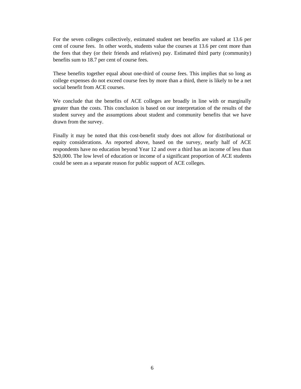For the seven colleges collectively, estimated student net benefits are valued at 13.6 per cent of course fees. In other words, students value the courses at 13.6 per cent more than the fees that they (or their friends and relatives) pay. Estimated third party (community) benefits sum to 18.7 per cent of course fees.

These benefits together equal about one-third of course fees. This implies that so long as college expenses do not exceed course fees by more than a third, there is likely to be a net social benefit from ACE courses.

We conclude that the benefits of ACE colleges are broadly in line with or marginally greater than the costs. This conclusion is based on our interpretation of the results of the student survey and the assumptions about student and community benefits that we have drawn from the survey.

Finally it may be noted that this cost-benefit study does not allow for distributional or equity considerations. As reported above, based on the survey, nearly half of ACE respondents have no education beyond Year 12 and over a third has an income of less than \$20,000. The low level of education or income of a significant proportion of ACE students could be seen as a separate reason for public support of ACE colleges.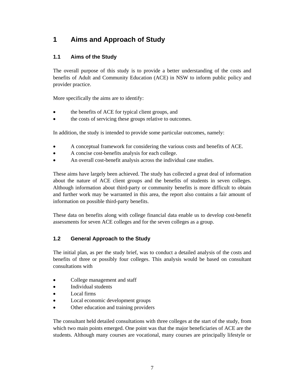# **1 Aims and Approach of Study**

# **1.1 Aims of the Study**

The overall purpose of this study is to provide a better understanding of the costs and benefits of Adult and Community Education (ACE) in NSW to inform public policy and provider practice.

More specifically the aims are to identify:

- the benefits of ACE for typical client groups, and
- the costs of servicing these groups relative to outcomes.

In addition, the study is intended to provide some particular outcomes, namely:

- A conceptual framework for considering the various costs and benefits of ACE.
- A concise cost-benefits analysis for each college.
- An overall cost-benefit analysis across the individual case studies.

These aims have largely been achieved. The study has collected a great deal of information about the nature of ACE client groups and the benefits of students in seven colleges. Although information about third-party or community benefits is more difficult to obtain and further work may be warranted in this area, the report also contains a fair amount of information on possible third-party benefits.

These data on benefits along with college financial data enable us to develop cost-benefit assessments for seven ACE colleges and for the seven colleges as a group.

# **1.2 General Approach to the Study**

The initial plan, as per the study brief, was to conduct a detailed analysis of the costs and benefits of three or possibly four colleges. This analysis would be based on consultant consultations with

- College management and staff
- Individual students
- Local firms
- Local economic development groups
- Other education and training providers

The consultant held detailed consultations with three colleges at the start of the study, from which two main points emerged. One point was that the major beneficiaries of ACE are the students. Although many courses are vocational, many courses are principally lifestyle or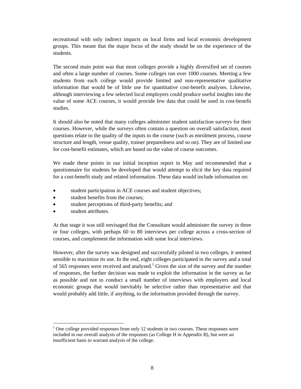recreational with only indirect impacts on local firms and local economic development groups. This meant that the major focus of the study should be on the experience of the students.

The second main point was that most colleges provide a highly diversified set of courses and often a large number of courses. Some colleges run over 1000 courses. Meeting a few students from each college would provide limited and non-representative qualitative information that would be of little use for quantitative cost-benefit analyses. Likewise, although interviewing a few selected local employers could produce useful insights into the value of some ACE courses, it would provide few data that could be used in cost-benefit studies.

It should also be noted that many colleges administer student satisfaction surveys for their courses. However, while the surveys often contain a question on overall satisfaction, most questions relate to the quality of the inputs to the course (such as enrolment process, course structure and length, venue quality, trainer preparedness and so on). They are of limited use for cost-benefit estimates, which are based on the value of course outcomes.

We made these points in our initial inception report in May and recommended that a questionnaire for students be developed that would attempt to elicit the key data required for a cost-benefit study and related information. These data would include information on:

- student participation in ACE courses and student objectives;
- student benefits from the courses;
- student perceptions of third-party benefits; and
- student attributes.

At that stage it was still envisaged that the Consultant would administer the survey in three or four colleges, with perhaps 60 to 80 interviews per college across a cross-section of courses, and complement the information with some local interviews.

However, after the survey was designed and successfully piloted in two colleges, it seemed sensible to maximize its use. In the end, eight colleges participated in the survey and a total of 565 responses were received and analysed.<sup>1</sup> Given the size of the survey and the number of responses, the further decision was made to exploit the information in the survey as far as possible and not to conduct a small number of interviews with employers and local economic groups that would inevitably be selective rather than representative and that would probably add little, if anything, to the information provided through the survey.

 $\overline{a}$  $1$  One college provided responses from only 12 students in two courses. These responses were included in our overall analysis of the responses (as College H in Appendix B), but were an insufficient basis to warrant analysis of the college.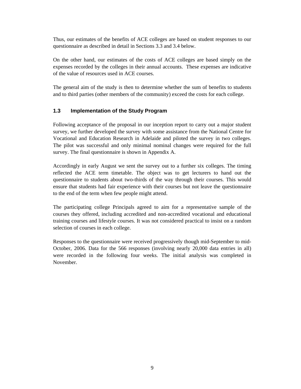Thus, our estimates of the benefits of ACE colleges are based on student responses to our questionnaire as described in detail in Sections 3.3 and 3.4 below.

On the other hand, our estimates of the costs of ACE colleges are based simply on the expenses recorded by the colleges in their annual accounts. These expenses are indicative of the value of resources used in ACE courses.

The general aim of the study is then to determine whether the sum of benefits to students and to third parties (other members of the community) exceed the costs for each college.

## **1.3 Implementation of the Study Program**

Following acceptance of the proposal in our inception report to carry out a major student survey, we further developed the survey with some assistance from the National Centre for Vocational and Education Research in Adelaide and piloted the survey in two colleges. The pilot was successful and only minimal nominal changes were required for the full survey. The final questionnaire is shown in Appendix A.

Accordingly in early August we sent the survey out to a further six colleges. The timing reflected the ACE term timetable. The object was to get lecturers to hand out the questionnaire to students about two-thirds of the way through their courses. This would ensure that students had fair experience with their courses but not leave the questionnaire to the end of the term when few people might attend.

The participating college Principals agreed to aim for a representative sample of the courses they offered, including accredited and non-accredited vocational and educational training courses and lifestyle courses. It was not considered practical to insist on a random selection of courses in each college.

Responses to the questionnaire were received progressively though mid-September to mid-October, 2006. Data for the 566 responses (involving nearly 20,000 data entries in all) were recorded in the following four weeks. The initial analysis was completed in November.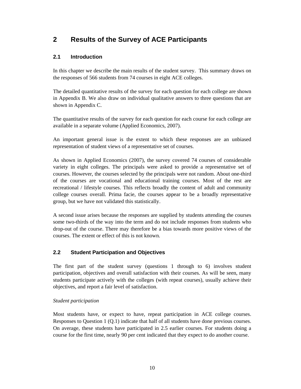# **2 Results of the Survey of ACE Participants**

## **2.1 Introduction**

In this chapter we describe the main results of the student survey. This summary draws on the responses of 566 students from 74 courses in eight ACE colleges.

The detailed quantitative results of the survey for each question for each college are shown in Appendix B. We also draw on individual qualitative answers to three questions that are shown in Appendix C.

The quantitative results of the survey for each question for each course for each college are available in a separate volume (Applied Economics, 2007).

An important general issue is the extent to which these responses are an unbiased representation of student views of a representative set of courses.

As shown in Applied Economics (2007), the survey covered 74 courses of considerable variety in eight colleges. The principals were asked to provide a representative set of courses. However, the courses selected by the principals were not random. About one-third of the courses are vocational and educational training courses. Most of the rest are recreational / lifestyle courses. This reflects broadly the content of adult and community college courses overall. Prima facie, the courses appear to be a broadly representative group, but we have not validated this statistically.

A second issue arises because the responses are supplied by students attending the courses some two-thirds of the way into the term and do not include responses from students who drop-out of the course. There may therefore be a bias towards more positive views of the courses. The extent or effect of this is not known.

# **2.2 Student Participation and Objectives**

The first part of the student survey (questions 1 through to 6) involves student participation, objectives and overall satisfaction with their courses. As will be seen, many students participate actively with the colleges (with repeat courses), usually achieve their objectives, and report a fair level of satisfaction.

## *Student participation*

Most students have, or expect to have, repeat participation in ACE college courses. Responses to Question 1 (Q.1) indicate that half of all students have done previous courses. On average, these students have participated in 2.5 earlier courses. For students doing a course for the first time, nearly 90 per cent indicated that they expect to do another course.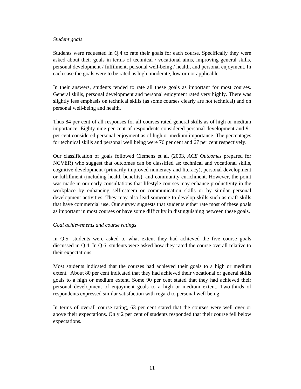#### *Student goals*

Students were requested in Q.4 to rate their goals for each course. Specifically they were asked about their goals in terms of technical / vocational aims, improving general skills, personal development / fulfilment, personal well-being / health, and personal enjoyment. In each case the goals were to be rated as high, moderate, low or not applicable.

In their answers, students tended to rate all these goals as important for most courses. General skills, personal development and personal enjoyment rated very highly. There was slightly less emphasis on technical skills (as some courses clearly are not technical) and on personal well-being and health.

Thus 84 per cent of all responses for all courses rated general skills as of high or medium importance. Eighty-nine per cent of respondents considered personal development and 91 per cent considered personal enjoyment as of high or medium importance. The percentages for technical skills and personal well being were 76 per cent and 67 per cent respectively.

Our classification of goals followed Clemens et al. (2003, *ACE Outcomes* prepared for NCVER) who suggest that outcomes can be classified as: technical and vocational skills, cognitive development (primarily improved numeracy and literacy), personal development or fulfillment (including health benefits), and community enrichment. However, the point was made in our early consultations that lifestyle courses may enhance productivity in the workplace by enhancing self-esteem or communication skills or by similar personal development activities. They may also lead someone to develop skills such as craft skills that have commercial use. Our survey suggests that students either rate most of these goals as important in most courses or have some difficulty in distinguishing between these goals.

#### *Goal achievements and course ratings*

In Q.5, students were asked to what extent they had achieved the five course goals discussed in Q.4. In Q.6, students were asked how they rated the course overall relative to their expectations.

Most students indicated that the courses had achieved their goals to a high or medium extent. About 80 per cent indicated that they had achieved their vocational or general skills goals to a high or medium extent. Some 90 per cent stated that they had achieved their personal development of enjoyment goals to a high or medium extent. Two-thirds of respondents expressed similar satisfaction with regard to personal well being

In terms of overall course rating, 63 per cent stated that the courses were well over or above their expectations. Only 2 per cent of students responded that their course fell below expectations.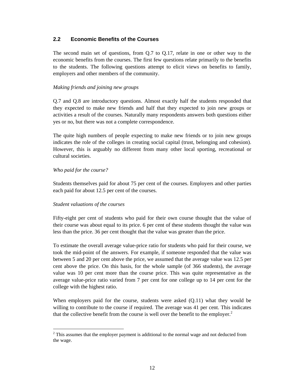## **2.2 Economic Benefits of the Courses**

The second main set of questions, from Q.7 to Q.17, relate in one or other way to the economic benefits from the courses. The first few questions relate primarily to the benefits to the students. The following questions attempt to elicit views on benefits to family, employers and other members of the community.

### *Making friends and joining new groups*

Q.7 and Q.8 are introductory questions. Almost exactly half the students responded that they expected to make new friends and half that they expected to join new groups or activities a result of the courses. Naturally many respondents answers both questions either yes or no, but there was not a complete correspondence.

The quite high numbers of people expecting to make new friends or to join new groups indicates the role of the colleges in creating social capital (trust, belonging and cohesion). However, this is arguably no different from many other local sporting, recreational or cultural societies.

### *Who paid for the course?*

 $\overline{a}$ 

Students themselves paid for about 75 per cent of the courses. Employers and other parties each paid for about 12.5 per cent of the courses.

### *Student valuations of the courses*

Fifty-eight per cent of students who paid for their own course thought that the value of their course was about equal to its price. 6 per cent of these students thought the value was less than the price. 36 per cent thought that the value was greater than the price.

To estimate the overall average value-price ratio for students who paid for their course, we took the mid-point of the answers. For example, if someone responded that the value was between 5 and 20 per cent above the price, we assumed that the average value was 12.5 per cent above the price. On this basis, for the whole sample (of 366 students), the average value was 10 per cent more than the course price. This was quite representative as the average value-price ratio varied from 7 per cent for one college up to 14 per cent for the college with the highest ratio.

When employers paid for the course, students were asked  $(0.11)$  what they would be willing to contribute to the course if required. The average was 41 per cent. This indicates that the collective benefit from the course is well over the benefit to the employer.<sup>2</sup>

 $2^2$  This assumes that the employer payment is additional to the normal wage and not deducted from the wage.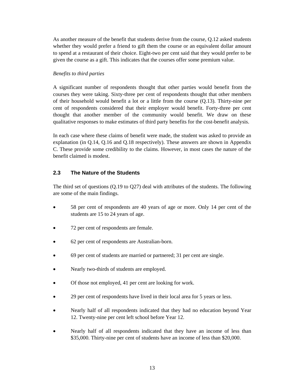As another measure of the benefit that students derive from the course, Q.12 asked students whether they would prefer a friend to gift them the course or an equivalent dollar amount to spend at a restaurant of their choice. Eight-two per cent said that they would prefer to be given the course as a gift. This indicates that the courses offer some premium value.

#### *Benefits to third parties*

A significant number of respondents thought that other parties would benefit from the courses they were taking. Sixty-three per cent of respondents thought that other members of their household would benefit a lot or a little from the course (Q.13). Thirty-nine per cent of respondents considered that their employer would benefit. Forty-three per cent thought that another member of the community would benefit. We draw on these qualitative responses to make estimates of third party benefits for the cost-benefit analysis.

In each case where these claims of benefit were made, the student was asked to provide an explanation (in Q.14, Q.16 and Q.18 respectively). These answers are shown in Appendix C. These provide some credibility to the claims. However, in most cases the nature of the benefit claimed is modest.

### **2.3 The Nature of the Students**

The third set of questions (Q.19 to Q27) deal with attributes of the students. The following are some of the main findings.

- 58 per cent of respondents are 40 years of age or more. Only 14 per cent of the students are 15 to 24 years of age.
- 72 per cent of respondents are female.
- 62 per cent of respondents are Australian-born.
- 69 per cent of students are married or partnered; 31 per cent are single.
- Nearly two-thirds of students are employed.
- Of those not employed, 41 per cent are looking for work.
- 29 per cent of respondents have lived in their local area for 5 years or less.
- Nearly half of all respondents indicated that they had no education beyond Year 12. Twenty-nine per cent left school before Year 12.
- Nearly half of all respondents indicated that they have an income of less than \$35,000. Thirty-nine per cent of students have an income of less than \$20,000.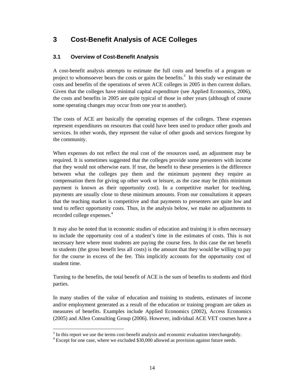# **3 Cost-Benefit Analysis of ACE Colleges**

# **3.1 Overview of Cost-Benefit Analysis**

A cost-benefit analysis attempts to estimate the full costs and benefits of a program or project to whomsoever bears the costs or gains the benefits.<sup>3</sup> In this study we estimate the costs and benefits of the operations of seven ACE colleges in 2005 in then current dollars. Given that the colleges have minimal capital expenditure (see Applied Economics, 2006), the costs and benefits in 2005 are quite typical of those in other years (although of course some operating changes may occur from one year to another).

The costs of ACE are basically the operating expenses of the colleges. These expenses represent expenditures on resources that could have been used to produce other goods and services. In other words, they represent the value of other goods and services foregone by the community.

When expenses do not reflect the real cost of the resources used, an adjustment may be required. It is sometimes suggested that the colleges provide some presenters with income that they would not otherwise earn. If true, the benefit to these presenters is the difference between what the colleges pay them and the minimum payment they require as compensation them for giving up other work or leisure, as the case may be (this minimum payment is known as their opportunity cost). In a competitive market for teaching, payments are usually close to these minimum amounts. From our consultations it appears that the teaching market is competitive and that payments to presenters are quite low and tend to reflect opportunity costs. Thus, in the analysis below, we make no adjustments to recorded college expenses.<sup>4</sup>

It may also be noted that in economic studies of education and training it is often necessary to include the opportunity cost of a student's time in the estimates of costs. This is not necessary here where most students are paying the course fees. In this case the net benefit to students (the gross benefit less all costs) is the amount that they would be willing to pay for the course in excess of the fee. This implicitly accounts for the opportunity cost of student time.

Turning to the benefits, the total benefit of ACE is the sum of benefits to students and third parties.

In many studies of the value of education and training to students, estimates of income and/or employment generated as a result of the education or training program are taken as measures of benefits. Examples include Applied Economics (2002), Access Economics (2005) and Allen Consulting Group (2006). However, individual ACE VET courses have a

 $\overline{a}$ 

 $3 \text{ In this report we use the terms cost-benefit analysis and economic evaluation interchangeably.}$ 

<sup>&</sup>lt;sup>4</sup> Except for one case, where we excluded \$30,000 allowed as provision against future needs.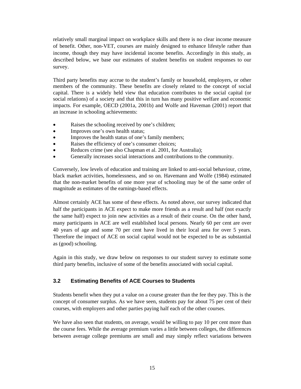relatively small marginal impact on workplace skills and there is no clear income measure of benefit. Other, non-VET, courses are mainly designed to enhance lifestyle rather than income, though they may have incidental income benefits. Accordingly in this study, as described below, we base our estimates of student benefits on student responses to our survey.

Third party benefits may accrue to the student's family or household, employers, or other members of the community. These benefits are closely related to the concept of social capital. There is a widely held view that education contributes to the social capital (or social relations) of a society and that this in turn has many positive welfare and economic impacts. For example, OECD (2001a, 2001b) and Wolfe and Haveman (2001) report that an increase in schooling achievements:

- Raises the schooling received by one's children;
- Improves one's own health status;
- Improves the health status of one's family members;
- Raises the efficiency of one's consumer choices;
- Reduces crime (see also Chapman et al. 2001, for Australia);
- Generally increases social interactions and contributions to the community.

Conversely, low levels of education and training are linked to anti-social behaviour, crime, black market activities, homelessness, and so on. Havemann and Wolfe (1984) estimated that the non-market benefits of one more year of schooling may be of the same order of magnitude as estimates of the earnings-based effects.

Almost certainly ACE has some of these effects. As noted above, our survey indicated that half the participants in ACE expect to make more friends as a result and half (not exactly the same half) expect to join new activities as a result of their course. On the other hand, many participants in ACE are well established local persons. Nearly 60 per cent are over 40 years of age and some 70 per cent have lived in their local area for over 5 years. Therefore the impact of ACE on social capital would not be expected to be as substantial as (good) schooling.

Again in this study, we draw below on responses to our student survey to estimate some third party benefits, inclusive of some of the benefits associated with social capital.

## **3.2 Estimating Benefits of ACE Courses to Students**

Students benefit when they put a value on a course greater than the fee they pay. This is the concept of consumer surplus. As we have seen, students pay for about 75 per cent of their courses, with employers and other parties paying half each of the other courses.

We have also seen that students, on average, would be willing to pay 10 per cent more than the course fees. While the average premium varies a little between colleges, the differences between average college premiums are small and may simply reflect variations between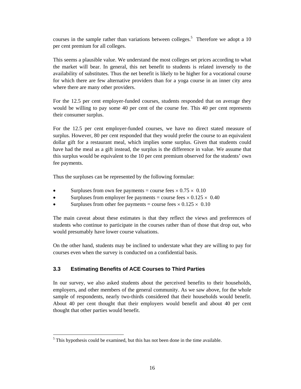courses in the sample rather than variations between colleges.<sup>5</sup> Therefore we adopt a 10 per cent premium for all colleges.

This seems a plausible value. We understand the most colleges set prices according to what the market will bear. In general, this net benefit to students is related inversely to the availability of substitutes. Thus the net benefit is likely to be higher for a vocational course for which there are few alternative providers than for a yoga course in an inner city area where there are many other providers.

For the 12.5 per cent employer-funded courses, students responded that on average they would be willing to pay some 40 per cent of the course fee. This 40 per cent represents their consumer surplus.

For the 12.5 per cent employer-funded courses, we have no direct stated measure of surplus. However, 80 per cent responded that they would prefer the course to an equivalent dollar gift for a restaurant meal, which implies some surplus. Given that students could have had the meal as a gift instead, the surplus is the difference in value. We assume that this surplus would be equivalent to the 10 per cent premium observed for the students' own fee payments.

Thus the surpluses can be represented by the following formulae:

- Surpluses from own fee payments = course fees  $\times$  0.75  $\times$  0.10
- Surpluses from employer fee payments = course fees  $\times$  0.125  $\times$  0.40
- Surpluses from other fee payments = course fees  $\times$  0.125  $\times$  0.10

The main caveat about these estimates is that they reflect the views and preferences of students who continue to participate in the courses rather than of those that drop out, who would presumably have lower course valuations.

On the other hand, students may be inclined to understate what they are willing to pay for courses even when the survey is conducted on a confidential basis.

# **3.3 Estimating Benefits of ACE Courses to Third Parties**

In our survey, we also asked students about the perceived benefits to their households, employers, and other members of the general community. As we saw above, for the whole sample of respondents, nearly two-thirds considered that their households would benefit. About 40 per cent thought that their employers would benefit and about 40 per cent thought that other parties would benefit.

 $\overline{a}$  $<sup>5</sup>$  This hypothesis could be examined, but this has not been done in the time available.</sup>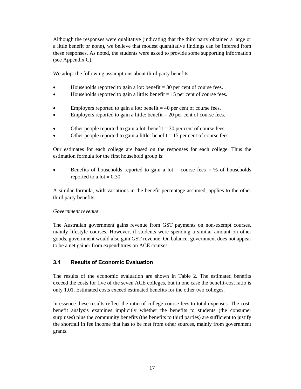Although the responses were qualitative (indicating that the third party obtained a large or a little benefit or none), we believe that modest quantitative findings can be inferred from these responses. As noted, the students were asked to provide some supporting information (see Appendix C).

We adopt the following assumptions about third party benefits.

- Households reported to gain a lot: benefit  $= 30$  per cent of course fees.
- Households reported to gain a little: benefit  $= 15$  per cent of course fees.
- Employers reported to gain a lot: benefit  $= 40$  per cent of course fees.
- Employers reported to gain a little: benefit  $= 20$  per cent of course fees.
- Other people reported to gain a lot: benefit  $=$  30 per cent of course fees.
- Other people reported to gain a little: benefit  $= 15$  per cent of course fees.

Our estimates for each college are based on the responses for each college. Thus the estimation formula for the first household group is:

• Benefits of households reported to gain a lot = course fees  $\times$  % of households reported to a lot  $\times$  0.30

A similar formula, with variations in the benefit percentage assumed, applies to the other third party benefits.

#### *Government revenue*

The Australian government gains revenue from GST payments on non-exempt courses, mainly lifestyle courses. However, if students were spending a similar amount on other goods, government would also gain GST revenue. On balance, government does not appear to be a net gainer from expenditures on ACE courses.

### **3.4 Results of Economic Evaluation**

The results of the economic evaluation are shown in Table 2. The estimated benefits exceed the costs for five of the seven ACE colleges, but in one case the benefit-cost ratio is only 1.01. Estimated costs exceed estimated benefits for the other two colleges.

In essence these results reflect the ratio of college course fees to total expenses. The costbenefit analysis examines implicitly whether the benefits to students (the consumer surpluses) plus the community benefits (the benefits to third parties) are sufficient to justify the shortfall in fee income that has to be met from other sources, mainly from government grants.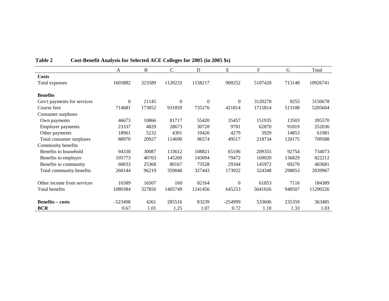|                             | $\mathbf{A}$ | B      | $\mathsf{C}$ | D        | E            | $\mathbf F$ | $\mathbf G$ | Total    |
|-----------------------------|--------------|--------|--------------|----------|--------------|-------------|-------------|----------|
| <b>Costs</b>                |              |        |              |          |              |             |             |          |
| Total expenses              | 1603882      | 323589 | 1120233      | 1158217  | 900252       | 5107420     | 713148      | 10926741 |
| <b>Benefits</b>             |              |        |              |          |              |             |             |          |
| Gov't payments for services | $\theta$     | 21145  | $\theta$     | $\Omega$ | $\Omega$     | 3120278     | 9255        | 3150678  |
| Course fees                 | 714681       | 173052 | 931859       | 735276   | 421814       | 1715814     | 513108      | 5205604  |
| Consumer surpluses          |              |        |              |          |              |             |             |          |
| Own payments                | 46673        | 10866  | 81717        | 55420    | 35457        | 151935      | 13503       | 395570   |
| <b>Employer payments</b>    | 23337        | 4829   | 28673        | 30728    | 9781         | 62870       | 91819       | 252036   |
| Other payments              | 18961        | 5232   | 4301         | 10426    | 4279         | 3929        | 14853       | 61981    |
| Total consumer surpluses    | 88970        | 20927  | 114690       | 96574    | 49517        | 218734      | 120175      | 709588   |
| Community benefits          |              |        |              |          |              |             |             |          |
| Benefits to household       | 94338        | 30087  | 133612       | 108821   | 65106        | 209355      | 92754       | 734073   |
| Benefits to employer        | 105773       | 40763  | 145260       | 145094   | 79472        | 169020      | 136829      | 822212   |
| Benefits to community       | 60033        | 25368  | 80167        | 73528    | 29344        | 145972      | 69270       | 483681   |
| Total community benefits    | 260144       | 96219  | 359040       | 327443   | 173922       | 524348      | 298853      | 2039967  |
| Other income from services  | 16589        | 16507  | 160          | 82164    | $\mathbf{0}$ | 61853       | 7116        | 184389   |
| Total benefits              | 1080384      | 327850 | 1405749      | 1241456  | 645253       | 5641026     | 948507      | 11290226 |
| <b>Benefits – costs</b>     | $-523498$    | 4261   | 285516       | 83239    | $-254999$    | 533606      | 235359      | 363485   |
| <b>BCR</b>                  | 0.67         | 1.01   | 1.25         | 1.07     | 0.72         | 1.10        | 1.33        | 1.03     |

**Table 2 Cost-Benefit Analysis for Selected ACE Colleges for 2005 (in 2005 \$s)**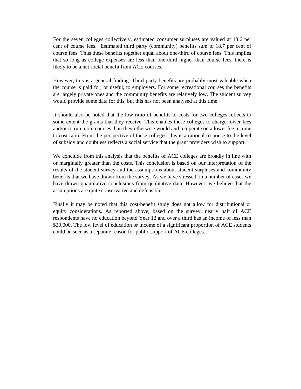For the seven colleges collectively, estimated consumer surpluses are valued at 13.6 per cent of course fees. Estimated third party (community) benefits sum to 18.7 per cent of course fees. Thus these benefits together equal about one-third of course fees. This implies that so long as college expenses are less than one-third higher than course fees, there is likely to be a net social benefit from ACE courses.

However, this is a general finding. Third party benefits are probably most valuable when the course is paid for, or useful, to employers. For some recreational courses the benefits are largely private ones and the community benefits are relatively low. The student survey would provide some data for this, but this has not been analysed at this time.

It should also be noted that the low ratio of benefits to costs for two colleges reflects to some extent the grants that they receive. This enables these colleges to charge lower fees and/or to run more courses than they otherwise would and to operate on a lower fee income to cost ratio. From the perspective of these colleges, this is a rational response to the level of subsidy and doubtless reflects a social service that the grant providers wish to support.

We conclude from this analysis that the benefits of ACE colleges are broadly in line with or marginally greater than the costs. This conclusion is based on our interpretation of the results of the student survey and the assumptions about student surpluses and community benefits that we have drawn from the survey. As we have stressed, in a number of cases we have drawn quantitative conclusions from qualitative data. However, we believe that the assumptions are quite conservative and defensible.

Finally it may be noted that this cost-benefit study does not allow for distributional or equity considerations. As reported above, based on the survey, nearly half of ACE respondents have no education beyond Year 12 and over a third has an income of less than \$20,000. The low level of education or income of a significant proportion of ACE students could be seen as a separate reason for public support of ACE colleges.